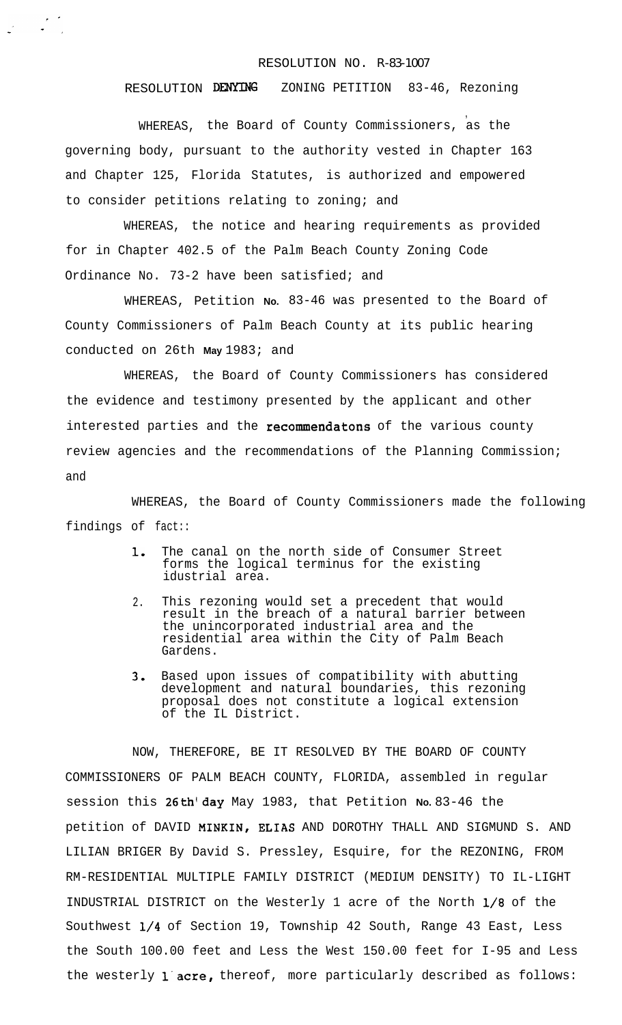## RESOLUTION NO. R-83-1007

**,**

## RESOLUTION DENYING ZONING PETITION 83-46, Rezoning

WHEREAS, the Board of County Commissioners, as the governing body, pursuant to the authority vested in Chapter 163 and Chapter 125, Florida Statutes, is authorized and empowered to consider petitions relating to zoning; and

WHEREAS, the notice and hearing requirements as provided for in Chapter 402.5 of the Palm Beach County Zoning Code Ordinance No. 73-2 have been satisfied; and

WHEREAS, Petition **No.** 83-46 was presented to the Board of County Commissioners of Palm Beach County at its public hearing conducted on 26th **May** 1983; and

WHEREAS, the Board of County Commissioners has considered the evidence and testimony presented by the applicant and other interested parties and the recommendatons of the various county review agencies and the recommendations of the Planning Commission; and

WHEREAS, the Board of County Commissioners made the following findings of fact::

- 1, The canal on the north side of Consumer Street forms the logical terminus for the existing idustrial area.
- 2. This rezoning would set a precedent that would result in the breach of a natural barrier between the unincorporated industrial area and the residential area within the City of Palm Beach Gardens.
- 3. Based upon issues of compatibility with abutting development and natural boundaries, this rezoning proposal does not constitute a logical extension of the IL District.

NOW, THEREFORE, BE IT RESOLVED BY THE BOARD OF COUNTY COMMISSIONERS OF PALM BEACH COUNTY, FLORIDA, assembled in regular session this 26th'day May 1983, that Petition **No.** 83-46 the petition of DAVID MINKIN, ELIAS AND DOROTHY THALL AND SIGMUND S. AND LILIAN BRIGER By David S. Pressley, Esquire, for the REZONING, FROM RM-RESIDENTIAL MULTIPLE FAMILY DISTRICT (MEDIUM DENSITY) TO IL-LIGHT INDUSTRIAL DISTRICT on the Westerly 1 acre of the North l/8 of the Southwest l/4 of Section 19, Township 42 South, Range 43 East, Less the South 100.00 feet and Less the West 150.00 feet for I-95 and Less the westerly 1 acre, thereof, more particularly described as follows: